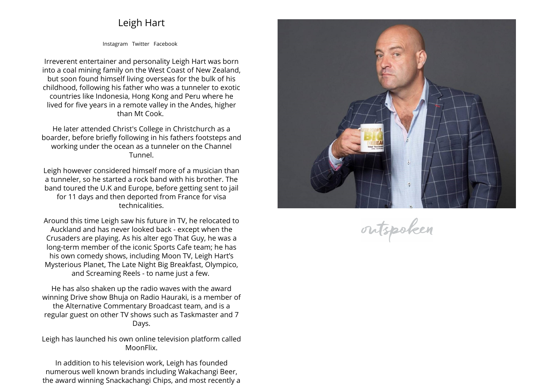## **Leigh Hart**

**[Instagram](https://www.instagram.com/dailybhuja) [Twitter](https://twitter.com/leighhart70) [Facebook](https://www.facebook.com/haurakibhuja)**

**Irreverent entertainer and personality Leigh Hart was born into <sup>a</sup> coal mining family on the West Coast of New Zealand, but soon found himself living overseas for the bulk of his childhood, following his father who was <sup>a</sup> tunneler to exotic countries like Indonesia, Hong Kong and Peru where he lived for five years in <sup>a</sup> remote valley in the Andes, higher than Mt Cook.** 

**He later attended Christ's College in Christchurch as <sup>a</sup> boarder, before briefly following in his fathers footsteps and working under the ocean as <sup>a</sup> tunneler on the Channel Tunnel.**

**Leigh however considered himself more of <sup>a</sup> musician than a tunneler, so he started <sup>a</sup> rock band with his brother. The band toured the U.K and Europe, before getting sent to jail for <sup>11</sup> days and then deported from France for visa technicalities.**

**Around this time Leigh saw his future in TV, he relocated to Auckland and has never looked back - except when the Crusaders are <sup>p</sup>laying. As his alter ego That Guy, he was <sup>a</sup> long-term member of the iconic Sports Cafe team; he has his own comedy shows, including Moon TV, Leigh Hart's Mysterious Planet, The Late Night Big Breakfast, Olympico, and Screaming Reels - to name just <sup>a</sup> few.** 

**He has also shaken up the radio waves with the award winning Drive show Bhuja on Radio Hauraki, is <sup>a</sup> member of the Alternative Commentary Broadcast team, and is <sup>a</sup> regular guest on other TV shows such as Taskmaster and <sup>7</sup> Days.**

**Leigh has launched his own online television <sup>p</sup>latform called MoonFlix.**

**In addition to his television work, Leigh has founded numerous well known brands including Wakachangi Beer, the award winning Snackachangi Chips, and most recently <sup>a</sup>**



outspoken